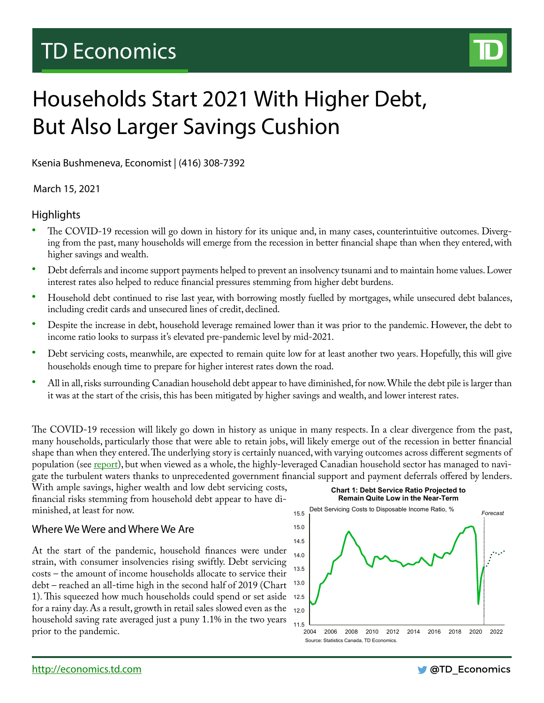## TD Economics



# Households Start 2021 With Higher Debt, But Also Larger Savings Cushion

Ksenia Bushmeneva, Economist | (416) 308-7392

March 15, 2021

## **Highlights**

- The COVID-19 recession will go down in history for its unique and, in many cases, counterintuitive outcomes. Diverging from the past, many households will emerge from the recession in better financial shape than when they entered, with higher savings and wealth.
- Debt deferrals and income support payments helped to prevent an insolvency tsunami and to maintain home values. Lower interest rates also helped to reduce financial pressures stemming from higher debt burdens.
- Household debt continued to rise last year, with borrowing mostly fuelled by mortgages, while unsecured debt balances, including credit cards and unsecured lines of credit, declined.
- Despite the increase in debt, household leverage remained lower than it was prior to the pandemic. However, the debt to income ratio looks to surpass it's elevated pre-pandemic level by mid-2021.
- Debt servicing costs, meanwhile, are expected to remain quite low for at least another two years. Hopefully, this will give households enough time to prepare for higher interest rates down the road.
- All in all, risks surrounding Canadian household debt appear to have diminished, for now. While the debt pile is larger than it was at the start of the crisis, this has been mitigated by higher savings and wealth, and lower interest rates.

The COVID-19 recession will likely go down in history as unique in many respects. In a clear divergence from the past, many households, particularly those that were able to retain jobs, will likely emerge out of the recession in better financial shape than when they entered. The underlying story is certainly nuanced, with varying outcomes across different segments of population (see [report\)](https://economics.td.com/gbl-pandemic-inequality), but when viewed as a whole, the highly-leveraged Canadian household sector has managed to navigate the turbulent waters thanks to unprecedented government financial support and payment deferrals offered by lenders.

With ample savings, higher wealth and low debt servicing costs, financial risks stemming from household debt appear to have diminished, at least for now.

## Where We Were and Where We Are

At the start of the pandemic, household finances were under strain, with consumer insolvencies rising swiftly. Debt servicing costs – the amount of income households allocate to service their debt – reached an all-time high in the second half of 2019 (Chart 1). This squeezed how much households could spend or set aside 12.5 for a rainy day. As a result, growth in retail sales slowed even as the household saving rate averaged just a puny 1.1% in the two years prior to the pandemic.



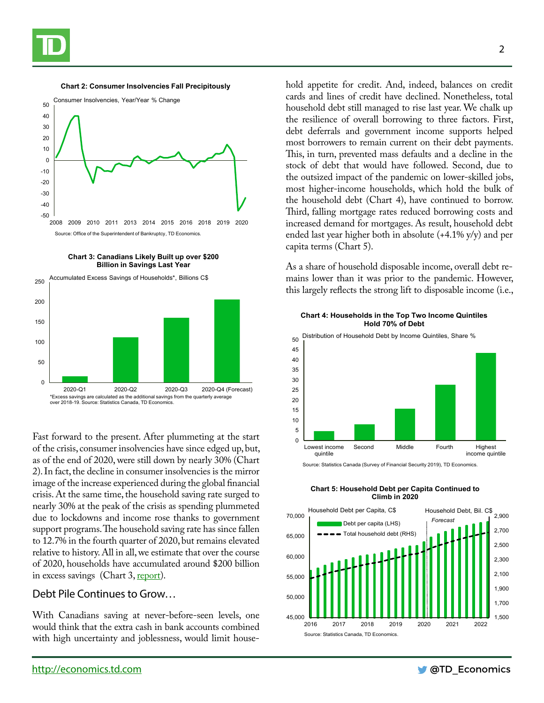

#### **Chart 2: Consumer Insolvencies Fall Precipitously**



**Chart 3: Canadians Likely Built up over \$200 Billion in Savings Last Year**



Fast forward to the present. After plummeting at the start of the crisis, consumer insolvencies have since edged up, but, as of the end of 2020, were still down by nearly 30% (Chart 2). In fact, the decline in consumer insolvencies is the mirror image of the increase experienced during the global financial crisis. At the same time, the household saving rate surged to nearly 30% at the peak of the crisis as spending plummeted due to lockdowns and income rose thanks to government support programs. The household saving rate has since fallen to 12.7% in the fourth quarter of 2020, but remains elevated relative to history. All in all, we estimate that over the course of 2020, households have accumulated around \$200 billion in excess savings (Chart 3, [report](https://economics.td.com/prospects-canadian-consumers)).

### Debt Pile Continues to Grow…

With Canadians saving at never-before-seen levels, one would think that the extra cash in bank accounts combined with high uncertainty and joblessness, would limit household appetite for credit. And, indeed, balances on credit cards and lines of credit have declined. Nonetheless, total household debt still managed to rise last year. We chalk up the resilience of overall borrowing to three factors. First, debt deferrals and government income supports helped most borrowers to remain current on their debt payments. This, in turn, prevented mass defaults and a decline in the stock of debt that would have followed. Second, due to the outsized impact of the pandemic on lower-skilled jobs, most higher-income households, which hold the bulk of the household debt (Chart 4), have continued to borrow. Third, falling mortgage rates reduced borrowing costs and increased demand for mortgages. As result, household debt ended last year higher both in absolute (+4.1% y/y) and per capita terms (Chart 5).

As a share of household disposable income, overall debt remains lower than it was prior to the pandemic. However, this largely reflects the strong lift to disposable income (i.e.,

#### **Chart 4: Households in the Top Two Income Quintiles Hold 70% of Debt**



Source: Statistics Canada (Survey of Financial Security 2019), TD Economics.



#### **Chart 5: Household Debt per Capita Continued to Climb in 2020**

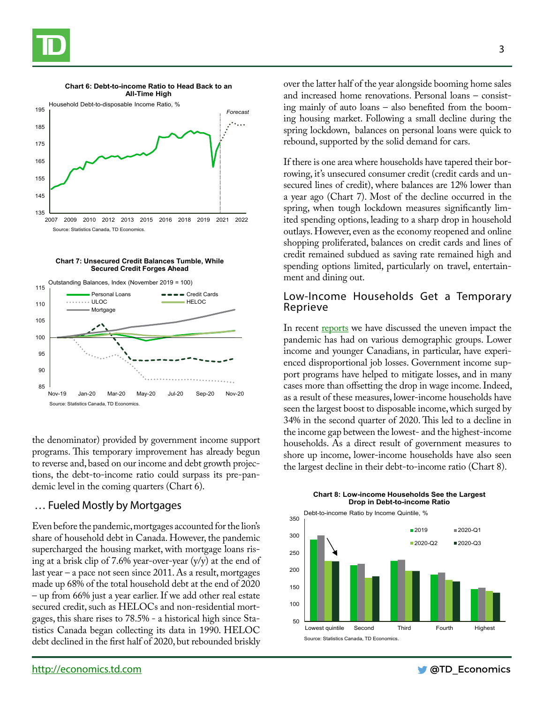







the denominator) provided by government income support programs. This temporary improvement has already begun to reverse and, based on our income and debt growth projections, the debt-to-income ratio could surpass its pre-pandemic level in the coming quarters (Chart 6).

## … Fueled Mostly by Mortgages

Even before the pandemic, mortgages accounted for the lion's share of household debt in Canada. However, the pandemic supercharged the housing market, with mortgage loans rising at a brisk clip of 7.6% year-over-year  $(y/y)$  at the end of last year – a pace not seen since 2011. As a result, mortgages made up 68% of the total household debt at the end of 2020 – up from 66% just a year earlier. If we add other real estate secured credit, such as HELOCs and non-residential mortgages, this share rises to 78.5% - a historical high since Statistics Canada began collecting its data in 1990. HELOC debt declined in the first half of 2020, but rebounded briskly over the latter half of the year alongside booming home sales and increased home renovations. Personal loans – consisting mainly of auto loans – also benefited from the booming housing market. Following a small decline during the spring lockdown, balances on personal loans were quick to rebound, supported by the solid demand for cars.

If there is one area where households have tapered their borrowing, it's unsecured consumer credit (credit cards and unsecured lines of credit), where balances are 12% lower than a year ago (Chart 7). Most of the decline occurred in the spring, when tough lockdown measures significantly limited spending options, leading to a sharp drop in household outlays. However, even as the economy reopened and online shopping proliferated, balances on credit cards and lines of credit remained subdued as saving rate remained high and spending options limited, particularly on travel, entertainment and dining out.

## Low-Income Households Get a Temporary Reprieve

In recent [reports](https://economics.td.com/gbl-pandemic-inequality) we have discussed the uneven impact the pandemic has had on various demographic groups. Lower income and younger Canadians, in particular, have experienced disproportional job losses. Government income support programs have helped to mitigate losses, and in many cases more than offsetting the drop in wage income. Indeed, as a result of these measures, lower-income households have seen the largest boost to disposable income, which surged by 34% in the second quarter of 2020. This led to a decline in the income gap between the lowest- and the highest-income households. As a direct result of government measures to shore up income, lower-income households have also seen the largest decline in their debt-to-income ratio (Chart 8).



**Chart 8: Low-income Households See the Largest Drop in Debt-to-income Ratio**

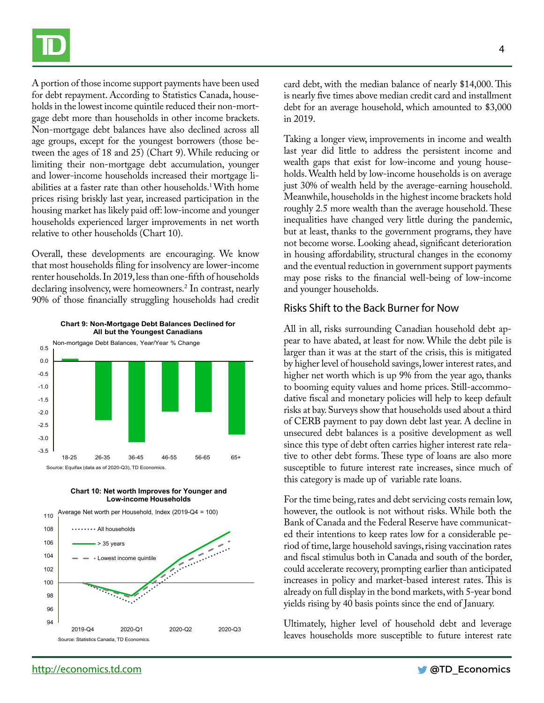

A portion of those income support payments have been used for debt repayment. According to Statistics Canada, households in the lowest income quintile reduced their non-mortgage debt more than households in other income brackets. Non-mortgage debt balances have also declined across all age groups, except for the youngest borrowers (those between the ages of 18 and 25) (Chart 9). While reducing or limiting their non-mortgage debt accumulation, younger and lower-income households increased their mortgage liabilities at a faster rate than other households.1 With home prices rising briskly last year, increased participation in the housing market has likely paid off: low-income and younger households experienced larger improvements in net worth relative to other households (Chart 10).

Overall, these developments are encouraging. We know that most households filing for insolvency are lower-income renter households. In 2019, less than one-fifth of households declaring insolvency, were homeowners.2 In contrast, nearly 90% of those financially struggling households had credit



**Chart 9: Non-Mortgage Debt Balances Declined for** 



Source: Equifax (data as of 2020-Q3), TD Economics.

18-25 26-35 36-45 46-55 56-65 65+



4

card debt, with the median balance of nearly \$14,000. This is nearly five times above median credit card and installment debt for an average household, which amounted to \$3,000 in 2019.

Taking a longer view, improvements in income and wealth last year did little to address the persistent income and wealth gaps that exist for low-income and young households. Wealth held by low-income households is on average just 30% of wealth held by the average-earning household. Meanwhile, households in the highest income brackets hold roughly 2.5 more wealth than the average household. These inequalities have changed very little during the pandemic, but at least, thanks to the government programs, they have not become worse. Looking ahead, significant deterioration in housing affordability, structural changes in the economy and the eventual reduction in government support payments may pose risks to the financial well-being of low-income and younger households.

## Risks Shift to the Back Burner for Now

All in all, risks surrounding Canadian household debt appear to have abated, at least for now. While the debt pile is larger than it was at the start of the crisis, this is mitigated by higher level of household savings, lower interest rates, and higher net worth which is up 9% from the year ago, thanks to booming equity values and home prices. Still-accommodative fiscal and monetary policies will help to keep default risks at bay. Surveys show that households used about a third of CERB payment to pay down debt last year. A decline in unsecured debt balances is a positive development as well since this type of debt often carries higher interest rate relative to other debt forms. These type of loans are also more susceptible to future interest rate increases, since much of this category is made up of variable rate loans.

For the time being, rates and debt servicing costs remain low, however, the outlook is not without risks. While both the Bank of Canada and the Federal Reserve have communicated their intentions to keep rates low for a considerable period of time, large household savings, rising vaccination rates and fiscal stimulus both in Canada and south of the border, could accelerate recovery, prompting earlier than anticipated increases in policy and market-based interest rates. This is already on full display in the bond markets, with 5-year bond yields rising by 40 basis points since the end of January.

Ultimately, higher level of household debt and leverage leaves households more susceptible to future interest rate

-3.5 -3.0 -2.5 -2.0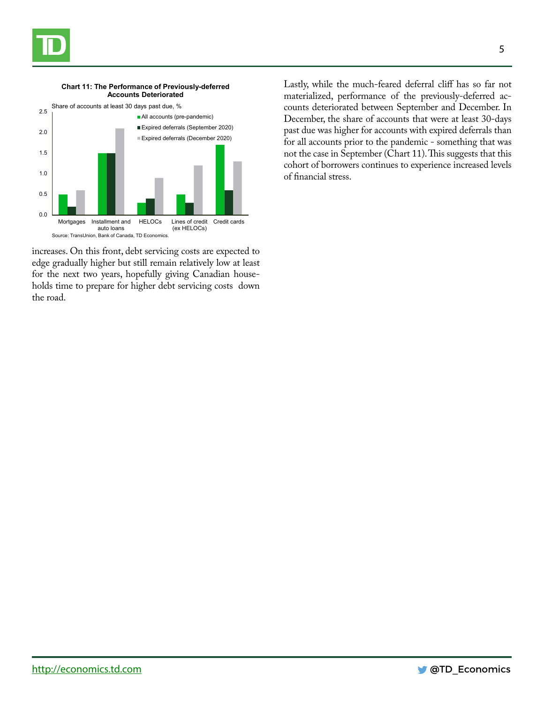



**Chart 11: The Performance of Previously-deferred** 

increases. On this front, debt servicing costs are expected to edge gradually higher but still remain relatively low at least for the next two years, hopefully giving Canadian households time to prepare for higher debt servicing costs down the road.

Lastly, while the much-feared deferral cliff has so far not materialized, performance of the previously-deferred accounts deteriorated between September and December. In December, the share of accounts that were at least 30-days past due was higher for accounts with expired deferrals than for all accounts prior to the pandemic - something that was not the case in September (Chart 11). This suggests that this cohort of borrowers continues to experience increased levels of financial stress.